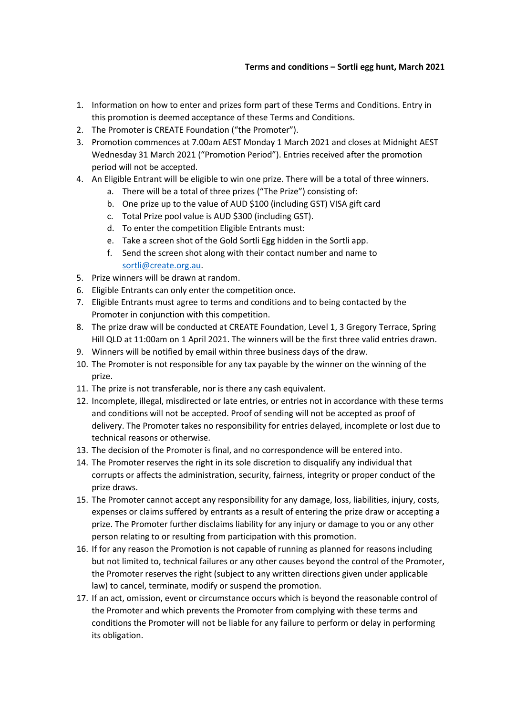## **Terms and conditions – Sortli egg hunt, March 2021**

- 1. Information on how to enter and prizes form part of these Terms and Conditions. Entry in this promotion is deemed acceptance of these Terms and Conditions.
- 2. The Promoter is CREATE Foundation ("the Promoter").
- 3. Promotion commences at 7.00am AEST Monday 1 March 2021 and closes at Midnight AEST Wednesday 31 March 2021 ("Promotion Period"). Entries received after the promotion period will not be accepted.
- 4. An Eligible Entrant will be eligible to win one prize. There will be a total of three winners.
	- a. There will be a total of three prizes ("The Prize") consisting of:
	- b. One prize up to the value of AUD \$100 (including GST) VISA gift card
	- c. Total Prize pool value is AUD \$300 (including GST).
	- d. To enter the competition Eligible Entrants must:
	- e. Take a screen shot of the Gold Sortli Egg hidden in the Sortli app.
	- f. Send the screen shot along with their contact number and name to [sortli@create.org.au.](mailto:sortli@create.org.au)
- 5. Prize winners will be drawn at random.
- 6. Eligible Entrants can only enter the competition once.
- 7. Eligible Entrants must agree to terms and conditions and to being contacted by the Promoter in conjunction with this competition.
- 8. The prize draw will be conducted at CREATE Foundation, Level 1, 3 Gregory Terrace, Spring Hill QLD at 11:00am on 1 April 2021. The winners will be the first three valid entries drawn.
- 9. Winners will be notified by email within three business days of the draw.
- 10. The Promoter is not responsible for any tax payable by the winner on the winning of the prize.
- 11. The prize is not transferable, nor is there any cash equivalent.
- 12. Incomplete, illegal, misdirected or late entries, or entries not in accordance with these terms and conditions will not be accepted. Proof of sending will not be accepted as proof of delivery. The Promoter takes no responsibility for entries delayed, incomplete or lost due to technical reasons or otherwise.
- 13. The decision of the Promoter is final, and no correspondence will be entered into.
- 14. The Promoter reserves the right in its sole discretion to disqualify any individual that corrupts or affects the administration, security, fairness, integrity or proper conduct of the prize draws.
- 15. The Promoter cannot accept any responsibility for any damage, loss, liabilities, injury, costs, expenses or claims suffered by entrants as a result of entering the prize draw or accepting a prize. The Promoter further disclaims liability for any injury or damage to you or any other person relating to or resulting from participation with this promotion.
- 16. If for any reason the Promotion is not capable of running as planned for reasons including but not limited to, technical failures or any other causes beyond the control of the Promoter, the Promoter reserves the right (subject to any written directions given under applicable law) to cancel, terminate, modify or suspend the promotion.
- 17. If an act, omission, event or circumstance occurs which is beyond the reasonable control of the Promoter and which prevents the Promoter from complying with these terms and conditions the Promoter will not be liable for any failure to perform or delay in performing its obligation.